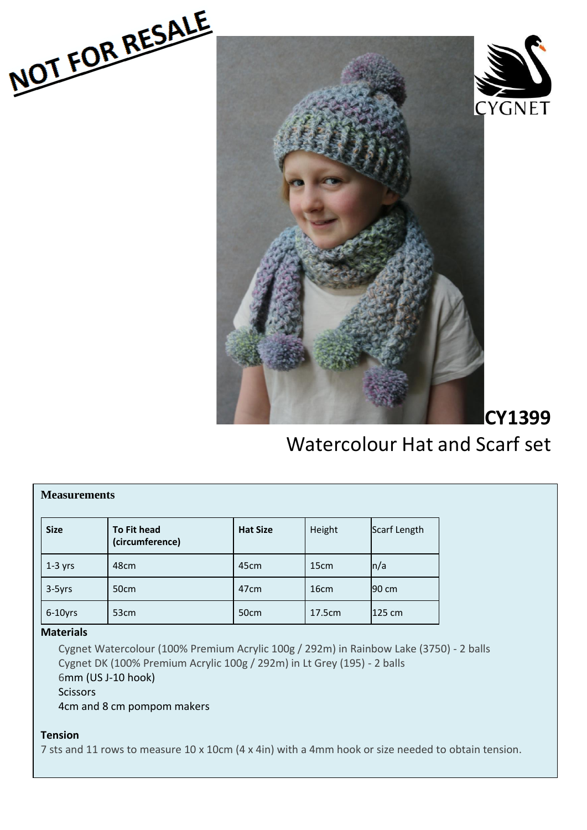





**CY1399** 

# Watercolour Hat and Scarf set

| <b>Measurements</b> |                                       |                  |                  |              |  |
|---------------------|---------------------------------------|------------------|------------------|--------------|--|
| <b>Size</b>         | <b>To Fit head</b><br>(circumference) | <b>Hat Size</b>  | Height           | Scarf Length |  |
| $1-3$ yrs           | 48cm                                  | 45cm             | 15 <sub>cm</sub> | n/a          |  |
| 3-5yrs              | 50cm                                  | 47 <sub>cm</sub> | 16 <sub>cm</sub> | 90 cm        |  |
| $6-10$ yrs          | 53 <sub>cm</sub>                      | 50cm             | 17.5cm           | 125 cm       |  |

## **Materials**

Cygnet Watercolour (100% Premium Acrylic 100g / 292m) in Rainbow Lake (3750) - 2 balls Cygnet DK (100% Premium Acrylic 100g / 292m) in Lt Grey (195) - 2 balls 6mm (US J-10 hook) Scissors 4cm and 8 cm pompom makers

# **Tension**

7 sts and 11 rows to measure 10 x 10cm (4 x 4in) with a 4mm hook or size needed to obtain tension.